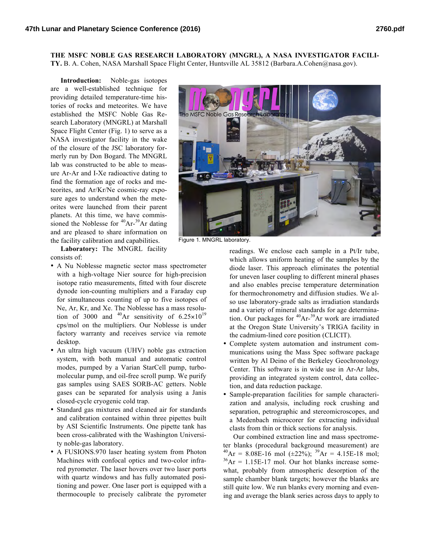**THE MSFC NOBLE GAS RESEARCH LABORATORY (MNGRL), A NASA INVESTIGATOR FACILI-TY.** B. A. Cohen, NASA Marshall Space Flight Center, Huntsville AL 35812 (Barbara.A.Cohen@nasa.gov).

**Introduction:** Noble-gas isotopes are a well-established technique for providing detailed temperature-time histories of rocks and meteorites. We have established the MSFC Noble Gas Research Laboratory (MNGRL) at Marshall Space Flight Center (Fig. 1) to serve as a NASA investigator facility in the wake of the closure of the JSC laboratory formerly run by Don Bogard. The MNGRL lab was constructed to be able to measure Ar-Ar and I-Xe radioactive dating to find the formation age of rocks and meteorites, and Ar/Kr/Ne cosmic-ray exposure ages to understand when the meteorites were launched from their parent planets. At this time, we have commissioned the Noblesse for  $40Ar^{-39}Ar$  dating and are pleased to share information on the facility calibration and capabilities.

**Laboratory:** The MNGRL facility consists of:

- A Nu Noblesse magnetic sector mass spectrometer with a high-voltage Nier source for high-precision isotope ratio measurements, fitted with four discrete dynode ion-counting multipliers and a Faraday cup for simultaneous counting of up to five isotopes of Ne, Ar, Kr, and Xe. The Noblesse has a mass resolution of 3000 and  $^{40}Ar$  sensitivity of 6.25 $\times$ 10<sup>19</sup> cps/mol on the multipliers. Our Noblesse is under factory warranty and receives service via remote desktop.
- An ultra high vacuum (UHV) noble gas extraction system, with both manual and automatic control modes, pumped by a Varian StarCell pump, turbomolecular pump, and oil-free scroll pump. We purify gas samples using SAES SORB-AC getters. Noble gases can be separated for analysis using a Janis closed-cycle cryogenic cold trap.
- Standard gas mixtures and cleaned air for standards and calibration contained within three pipettes built by ASI Scientific Instruments. One pipette tank has been cross-calibrated with the Washington University noble-gas laboratory.
- A FUSIONS.970 laser heating system from Photon Machines with confocal optics and two-color infrared pyrometer. The laser hovers over two laser ports with quartz windows and has fully automated positioning and power. One laser port is equipped with a thermocouple to precisely calibrate the pyrometer



Figure 1. MNGRL laboratory.

readings. We enclose each sample in a Pt/Ir tube, which allows uniform heating of the samples by the diode laser. This approach eliminates the potential for uneven laser coupling to different mineral phases and also enables precise temperature determination for thermochronometry and diffusion studies. We also use laboratory-grade salts as irradiation standards and a variety of mineral standards for age determination. Our packages for  $40Ar^{-39}Ar$  work are irradiated at the Oregon State University's TRIGA facility in the cadmium-lined core position (CLICIT).

- Complete system automation and instrument communications using the Mass Spec software package written by Al Deino of the Berkeley Geochronology Center. This software is in wide use in Ar-Ar labs, providing an integrated system control, data collection, and data reduction package.
- Sample-preparation facilities for sample characterization and analysis, including rock crushing and separation, petrographic and stereomicroscopes, and a Medenbach microcorer for extracting individual clasts from thin or thick sections for analysis.

Our combined extraction line and mass spectrometer blanks (procedural background measurement) are  ${}^{40}Ar = 8.08E-16$  mol ( $\pm 22\%$ );  ${}^{39}Ar = 4.15E-18$  mol;  ${}^{36}Ar = 1.15E-17$  mol. Our hot blanks increase somewhat, probably from atmospheric desorption of the sample chamber blank targets; however the blanks are still quite low. We run blanks every morning and evening and average the blank series across days to apply to